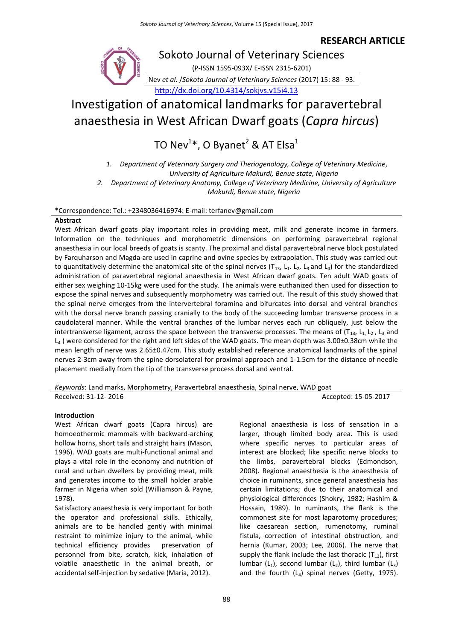# **RESEARCH ARTICLE**



# Investigation of anatomical landmarks for paravertebral anaesthesia in West African Dwarf goats (*Capra hircus*)

TO Nev $^{1*}$ , O Byanet $^{2}$  & AT Elsa $^{1}$ 

*1. Department of Veterinary Surgery and Theriogenology, College of Veterinary Medicine, University of Agriculture Makurdi, Benue state, Nigeria*

*2. Department of Veterinary Anatomy, College of Veterinary Medicine, University of Agriculture Makurdi, Benue state, Nigeria*

\*Correspondence: Tel.: +2348036416974: E-mail: terfanev@gmail.com

# **Abstract**

West African dwarf goats play important roles in providing meat, milk and generate income in farmers. Information on the techniques and morphometric dimensions on performing paravertebral regional anaesthesia in our local breeds of goats is scanty. The proximal and distal paravertebral nerve block postulated by Farquharson and Magda are used in caprine and ovine species by extrapolation. This study was carried out to quantitatively determine the anatomical site of the spinal nerves ( $T_{13}$ , L<sub>1</sub>. L<sub>2</sub>, L<sub>3</sub> and L<sub>4</sub>) for the standardized administration of paravertebral regional anaesthesia in West African dwarf goats. Ten adult WAD goats of either sex weighing 10-15kg were used for the study. The animals were euthanized then used for dissection to expose the spinal nerves and subsequently morphometry was carried out. The result of this study showed that the spinal nerve emerges from the intervertebral foramina and bifurcates into dorsal and ventral branches with the dorsal nerve branch passing cranially to the body of the succeeding lumbar transverse process in a caudolateral manner. While the ventral branches of the lumbar nerves each run obliquely, just below the intertransverse ligament, across the space between the transverse processes. The means of  $(T_{13}, L_1, L_2, L_3)$  and  $L_4$ ) were considered for the right and left sides of the WAD goats. The mean depth was 3.00±0.38cm while the mean length of nerve was 2.65±0.47cm. This study established reference anatomical landmarks of the spinal nerves 2-3cm away from the spine dorsolateral for proximal approach and 1-1.5cm for the distance of needle placement medially from the tip of the transverse process dorsal and ventral.

*Keywords*: Land marks, Morphometry, Paravertebral anaesthesia, Spinal nerve, WAD goat Received: 31-12- 2016 **Accepted: 15-05-2017** Accepted: 15-05-2017

# **Introduction**

West African dwarf goats (Capra hircus) are homoeothermic mammals with backward-arching hollow horns, short tails and straight hairs (Mason, 1996). WAD goats are multi-functional animal and plays a vital role in the economy and nutrition of rural and urban dwellers by providing meat, milk and generates income to the small holder arable farmer in Nigeria when sold (Williamson & Payne, 1978).

Satisfactory anaesthesia is very important for both the operator and professional skills. Ethically, animals are to be handled gently with minimal restraint to minimize injury to the animal, while technical efficiency provides preservation of personnel from bite, scratch, kick, inhalation of volatile anaesthetic in the animal breath, or accidental self-injection by sedative (Maria, 2012).

Regional anaesthesia is loss of sensation in a larger, though limited body area. This is used where specific nerves to particular areas of interest are blocked; like specific nerve blocks to the limbs, paravertebral blocks (Edmondson, 2008). Regional anaesthesia is the anaesthesia of choice in ruminants, since general anaesthesia has certain limitations; due to their anatomical and physiological differences (Shokry, 1982; Hashim & Hossain, 1989). In ruminants, the flank is the commonest site for most laparotomy procedures; like caesarean section, rumenotomy, ruminal fistula, correction of intestinal obstruction, and hernia (Kumar, 2003; Lee, 2006). The nerve that supply the flank include the last thoracic  $(T_{13})$ , first lumbar ( $L_1$ ), second lumbar ( $L_2$ ), third lumbar ( $L_3$ ) and the fourth  $(L_4)$  spinal nerves (Getty, 1975).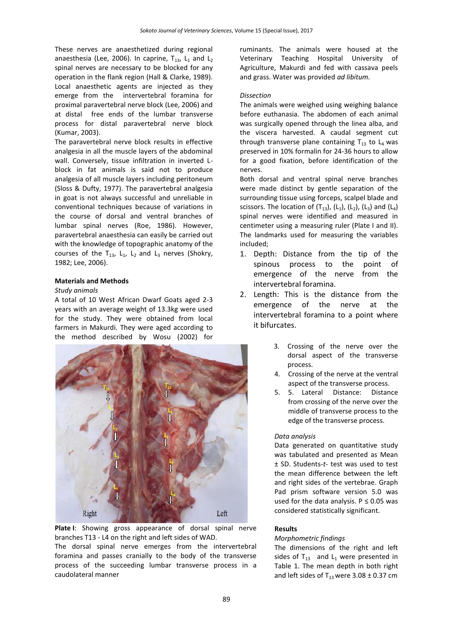These nerves are anaesthetized during regional anaesthesia (Lee, 2006). In caprine,  $T_{13}$ ,  $L_1$  and  $L_2$ spinal nerves are necessary to be blocked for any operation in the flank region (Hall & Clarke, 1989). Local anaesthetic agents are injected as they emerge from the intervertebral foramina for proximal paravertebral nerve block (Lee, 2006) and at distal free ends of the lumbar transverse process for distal paravertebral nerve block (Kumar, 2003).

The paravertebral nerve block results in effective analgesia in all the muscle layers of the abdominal wall. Conversely, tissue infiltration in inverted Lblock in fat animals is said not to produce analgesia of all muscle layers including peritoneum (Sloss & Dufty, 1977). The paravertebral analgesia in goat is not always successful and unreliable in conventional techniques because of variations in the course of dorsal and ventral branches of lumbar spinal nerves (Roe, 1986). However, paravertebral anaesthesia can easily be carried out with the knowledge of topographic anatomy of the courses of the  $T_{13}$ ,  $L_1$ ,  $L_2$  and  $L_3$  nerves (Shokry, 1982; Lee, 2006).

#### **Materials and Methods**

#### *Study animals*

A total of 10 West African Dwarf Goats aged 2-3 years with an average weight of 13.3kg were used for the study. They were obtained from local farmers in Makurdi. They were aged according to the method described by Wosu (2002) for



**Plate I**: Showing gross appearance of dorsal spinal nerve branches T13 - L4 on the right and left sides of WAD.

The dorsal spinal nerve emerges from the intervertebral foramina and passes cranially to the body of the transverse process of the succeeding lumbar transverse process in a caudolateral manner

ruminants. The animals were housed at the Veterinary Teaching Hospital University of Agriculture, Makurdi and fed with cassava peels and grass. Water was provided *ad libitum.*

# *Dissection*

The animals were weighed using weighing balance before euthanasia. The abdomen of each animal was surgically opened through the linea alba, and the viscera harvested. A caudal segment cut through transverse plane containing  $T_{13}$  to  $L_4$  was preserved in 10% formalin for 24-36 hours to allow for a good fixation, before identification of the nerves.

Both dorsal and ventral spinal nerve branches were made distinct by gentle separation of the surrounding tissue using forceps, scalpel blade and scissors. The location of  $(T_{13})$ ,  $(L_1)$ ,  $(L_2)$ ,  $(L_3)$  and  $(L_4)$ spinal nerves were identified and measured in centimeter using a measuring ruler (Plate I and II). The landmarks used for measuring the variables included;

- 1. Depth: Distance from the tip of the spinous process to the point of emergence of the nerve from the intervertebral foramina.
- 2. Length: This is the distance from the emergence of the nerve at the intervertebral foramina to a point where it bifurcates.
	- 3. Crossing of the nerve over the dorsal aspect of the transverse process.
	- 4. Crossing of the nerve at the ventral aspect of the transverse process.
	- 5. 5. Lateral Distance: Distance from crossing of the nerve over the middle of transverse process to the edge of the transverse process.

#### *Data analysis*

Data generated on quantitative study was tabulated and presented as Mean ± SD. Students-*t*- test was used to test the mean difference between the left and right sides of the vertebrae. Graph Pad prism software version 5.0 was used for the data analysis.  $P \le 0.05$  was considered statistically significant.

#### **Results**

#### *Morphometric findings*

The dimensions of the right and left sides of  $T_{13}$  and  $L_1$  were presented in Table 1. The mean depth in both right and left sides of  $T_{13}$  were 3.08  $\pm$  0.37 cm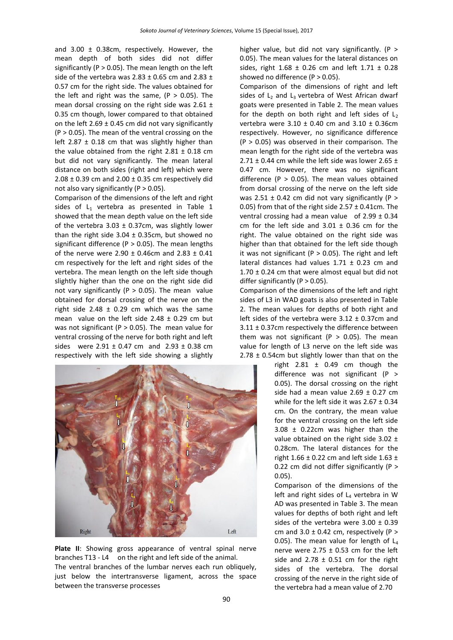and 3.00 ± 0.38cm, respectively. However, the mean depth of both sides did not differ significantly ( $P > 0.05$ ). The mean length on the left side of the vertebra was 2.83  $\pm$  0.65 cm and 2.83  $\pm$ 0.57 cm for the right side. The values obtained for the left and right was the same,  $(P > 0.05)$ . The mean dorsal crossing on the right side was  $2.61 \pm$ 0.35 cm though, lower compared to that obtained on the left  $2.69 \pm 0.45$  cm did not vary significantly  $(P > 0.05)$ . The mean of the ventral crossing on the left 2.87  $\pm$  0.18 cm that was slightly higher than the value obtained from the right  $2.81 \pm 0.18$  cm but did not vary significantly. The mean lateral distance on both sides (right and left) which were  $2.08 \pm 0.39$  cm and  $2.00 \pm 0.35$  cm respectively did not also vary significantly ( $P > 0.05$ ).

Comparison of the dimensions of the left and right sides of  $L_1$  vertebra as presented in Table 1 showed that the mean depth value on the left side of the vertebra 3.03  $\pm$  0.37cm, was slightly lower than the right side  $3.04 \pm 0.35$ cm, but showed no significant difference ( $P > 0.05$ ). The mean lengths of the nerve were  $2.90 \pm 0.46$ cm and  $2.83 \pm 0.41$ cm respectively for the left and right sides of the vertebra. The mean length on the left side though slightly higher than the one on the right side did not vary significantly ( $P > 0.05$ ). The mean value obtained for dorsal crossing of the nerve on the right side 2.48  $\pm$  0.29 cm which was the same mean value on the left side  $2.48 \pm 0.29$  cm but was not significant ( $P > 0.05$ ). The mean value for ventral crossing of the nerve for both right and left sides were  $2.91 \pm 0.47$  cm and  $2.93 \pm 0.38$  cm respectively with the left side showing a slightly



**Plate II**: Showing gross appearance of ventral spinal nerve branches T13 - L4 on the right and left side of the animal. The ventral branches of the lumbar nerves each run obliquely, just below the intertransverse ligament, across the space between the transverse processes

higher value, but did not vary significantly. (P > 0.05). The mean values for the lateral distances on sides, right  $1.68 \pm 0.26$  cm and left  $1.71 \pm 0.28$ showed no difference (P > 0.05).

Comparison of the dimensions of right and left sides of  $L_2$  and  $L_3$  vertebra of West African dwarf goats were presented in Table 2. The mean values for the depth on both right and left sides of  $L<sub>2</sub>$ vertebra were  $3.10 \pm 0.40$  cm and  $3.10 \pm 0.36$ cm respectively. However, no significance difference  $(P > 0.05)$  was observed in their comparison. The mean length for the right side of the vertebra was 2.71  $\pm$  0.44 cm while the left side was lower 2.65  $\pm$ 0.47 cm. However, there was no significant difference (P  $>$  0.05). The mean values obtained from dorsal crossing of the nerve on the left side was 2.51  $\pm$  0.42 cm did not vary significantly (P > 0.05) from that of the right side  $2.57 \pm 0.41$ cm. The ventral crossing had a mean value of  $2.99 \pm 0.34$ cm for the left side and  $3.01 \pm 0.36$  cm for the right. The value obtained on the right side was higher than that obtained for the left side though it was not significant ( $P > 0.05$ ). The right and left lateral distances had values  $1.71 \pm 0.23$  cm and  $1.70 \pm 0.24$  cm that were almost equal but did not differ significantly ( $P > 0.05$ ).

Comparison of the dimensions of the left and right sides of L3 in WAD goats is also presented in Table 2. The mean values for depths of both right and left sides of the vertebra were  $3.12 \pm 0.37$ cm and  $3.11 \pm 0.37$ cm respectively the difference between them was not significant (P  $>$  0.05). The mean value for length of L3 nerve on the left side was  $2.78 \pm 0.54$ cm but slightly lower than that on the

> right  $2.81 \pm 0.49$  cm though the difference was not significant (P > 0.05). The dorsal crossing on the right side had a mean value  $2.69 \pm 0.27$  cm while for the left side it was  $2.67 \pm 0.34$ cm. On the contrary, the mean value for the ventral crossing on the left side 3.08 ± 0.22cm was higher than the value obtained on the right side  $3.02 \pm$ 0.28cm. The lateral distances for the right  $1.66 \pm 0.22$  cm and left side  $1.63 \pm 1.63$ 0.22 cm did not differ significantly (P > 0.05).

> Comparison of the dimensions of the left and right sides of  $L_4$  vertebra in W AD was presented in Table 3. The mean values for depths of both right and left sides of the vertebra were  $3.00 \pm 0.39$ cm and  $3.0 \pm 0.42$  cm, respectively (P > 0.05). The mean value for length of  $L_4$ nerve were 2.75  $\pm$  0.53 cm for the left side and  $2.78 \pm 0.51$  cm for the right sides of the vertebra. The dorsal crossing of the nerve in the right side of the vertebra had a mean value of 2.70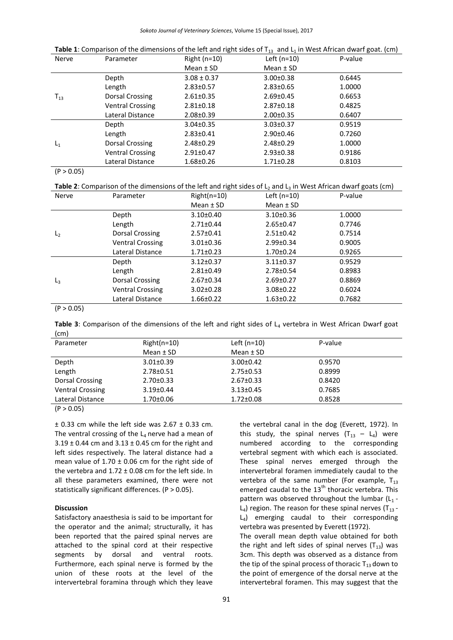| Nerve    | Parameter               | Right $(n=10)$  | Left ( $n=10$ ) | P-value |
|----------|-------------------------|-----------------|-----------------|---------|
|          |                         | Mean $±$ SD     | Mean $±$ SD     |         |
| $T_{13}$ | Depth                   | $3.08 \pm 0.37$ | $3.00 \pm 0.38$ | 0.6445  |
|          | Length                  | $2.83 \pm 0.57$ | $2.83 \pm 0.65$ | 1.0000  |
|          | Dorsal Crossing         | $2.61 \pm 0.35$ | $2.69 \pm 0.45$ | 0.6653  |
|          | <b>Ventral Crossing</b> | $2.81 \pm 0.18$ | $2.87 \pm 0.18$ | 0.4825  |
|          | Lateral Distance        | $2.08 \pm 0.39$ | $2.00 \pm 0.35$ | 0.6407  |
| $L_1$    | Depth                   | $3.04 \pm 0.35$ | $3.03 \pm 0.37$ | 0.9519  |
|          | Length                  | $2.83 \pm 0.41$ | $2.90 \pm 0.46$ | 0.7260  |
|          | <b>Dorsal Crossing</b>  | $2.48 \pm 0.29$ | $2.48 \pm 0.29$ | 1.0000  |
|          | <b>Ventral Crossing</b> | $2.91 \pm 0.47$ | $2.93 \pm 0.38$ | 0.9186  |
|          | Lateral Distance        | $1.68 \pm 0.26$ | $1.71 \pm 0.28$ | 0.8103  |

**Table 1**: Comparison of the dimensions of the left and right sides of  $T_{13}$  and  $L_1$  in West African dwarf goat. (cm)

 $(P > 0.05)$ 

Table 2: Comparison of the dimensions of the left and right sides of L<sub>2</sub> and L<sub>3</sub> in West African dwarf goats (cm)

| Nerve          | Parameter               | $Right(n=10)$   | Left ( $n=10$ ) | P-value |  |
|----------------|-------------------------|-----------------|-----------------|---------|--|
|                |                         | Mean $±$ SD     | Mean $±$ SD     |         |  |
|                | Depth                   | $3.10 \pm 0.40$ | $3.10 \pm 0.36$ | 1.0000  |  |
|                | Length                  | $2.71 \pm 0.44$ | $2.65 \pm 0.47$ | 0.7746  |  |
| L <sub>2</sub> | Dorsal Crossing         | $2.57 \pm 0.41$ | $2.51 \pm 0.42$ | 0.7514  |  |
|                | <b>Ventral Crossing</b> | $3.01 \pm 0.36$ | $2.99 \pm 0.34$ | 0.9005  |  |
|                | Lateral Distance        | $1.71 \pm 0.23$ | $1.70 \pm 0.24$ | 0.9265  |  |
|                | Depth                   | $3.12 \pm 0.37$ | $3.11 \pm 0.37$ | 0.9529  |  |
|                | Length                  | $2.81 \pm 0.49$ | $2.78 \pm 0.54$ | 0.8983  |  |
| $L_3$          | Dorsal Crossing         | $2.67 \pm 0.34$ | $2.69 \pm 0.27$ | 0.8869  |  |
|                | <b>Ventral Crossing</b> | $3.02 \pm 0.28$ | $3.08 \pm 0.22$ | 0.6024  |  |
|                | Lateral Distance        | $1.66 \pm 0.22$ | $1.63 \pm 0.22$ | 0.7682  |  |

 $(P > 0.05)$ 

Table 3: Comparison of the dimensions of the left and right sides of L<sub>4</sub> vertebra in West African Dwarf goat (cm)

| $\sqrt{2}$              |                 |                 |         |
|-------------------------|-----------------|-----------------|---------|
| Parameter               | $Right(n=10)$   | Left $(n=10)$   | P-value |
|                         | Mean $±$ SD     | Mean $\pm$ SD   |         |
| Depth                   | $3.01 \pm 0.39$ | $3.00 \pm 0.42$ | 0.9570  |
| Length                  | $2.78 \pm 0.51$ | $2.75 \pm 0.53$ | 0.8999  |
| Dorsal Crossing         | $2.70 \pm 0.33$ | $2.67 \pm 0.33$ | 0.8420  |
| <b>Ventral Crossing</b> | $3.19 \pm 0.44$ | $3.13 \pm 0.45$ | 0.7685  |
| Lateral Distance        | $1.70 \pm 0.06$ | $1.72 \pm 0.08$ | 0.8528  |

 $(P > 0.05)$ 

 $\pm$  0.33 cm while the left side was 2.67  $\pm$  0.33 cm. The ventral crossing of the  $L_4$  nerve had a mean of  $3.19 \pm 0.44$  cm and  $3.13 \pm 0.45$  cm for the right and left sides respectively. The lateral distance had a mean value of  $1.70 \pm 0.06$  cm for the right side of the vertebra and  $1.72 \pm 0.08$  cm for the left side. In all these parameters examined, there were not statistically significant differences. (P > 0.05).

# **Discussion**

Satisfactory anaesthesia is said to be important for the operator and the animal; structurally, it has been reported that the paired spinal nerves are attached to the spinal cord at their respective segments by dorsal and ventral roots. Furthermore, each spinal nerve is formed by the union of these roots at the level of the intervertebral foramina through which they leave

the vertebral canal in the dog (Everett, 1972). In this study, the spinal nerves  $(T_{13} - L_4)$  were numbered according to the corresponding vertebral segment with which each is associated. These spinal nerves emerged through the intervertebral foramen immediately caudal to the vertebra of the same number (For example,  $T_{13}$ ) emerged caudal to the  $13<sup>th</sup>$  thoracic vertebra. This pattern was observed throughout the lumbar  $(L_1 L_4$ ) region. The reason for these spinal nerves (T<sub>13</sub> - $L_4$ ) emerging caudal to their corresponding vertebra was presented by Everett (1972). The overall mean depth value obtained for both the right and left sides of spinal nerves  $(T_{13})$  was 3cm. This depth was observed as a distance from the tip of the spinal process of thoracic  $T_{13}$  down to

the point of emergence of the dorsal nerve at the intervertebral foramen. This may suggest that the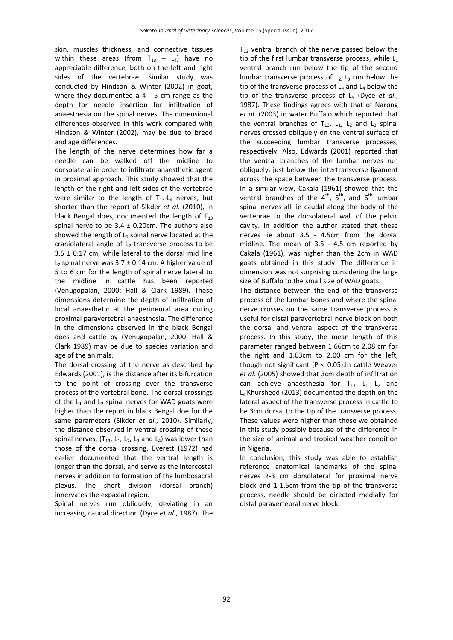skin, muscles thickness, and connective tissues within these areas (from  $T_{13}$  – L<sub>4</sub>) have no appreciable difference, both on the left and right sides of the vertebrae. Similar study was conducted by Hindson & Winter (2002) in goat, where they documented a 4 - 5 cm range as the depth for needle insertion for infiltration of anaesthesia on the spinal nerves. The dimensional differences observed in this work compared with Hindson & Winter (2002), may be due to breed and age differences.

The length of the nerve determines how far a needle can be walked off the midline to dorsolateral in order to infiltrate anaesthetic agent in proximal approach. This study showed that the length of the right and left sides of the vertebrae were similar to the length of  $T_{13}$ -L<sub>4</sub> nerves, but shorter than the report of Sikder *et al*. (2010), in black Bengal does, documented the length of  $T_{13}$ spinal nerve to be  $3.4 \pm 0.20$ cm. The authors also showed the length of  $L_1$  spinal nerve located at the craniolateral angle of  $L_2$  transverse process to be  $3.5 \pm 0.17$  cm, while lateral to the dorsal mid line L<sub>2</sub> spinal nerve was  $3.7 \pm 0.14$  cm. A higher value of 5 to 6 cm for the length of spinal nerve lateral to the midline in cattle has been reported (Venugopalan, 2000; Hall & Clark 1989). These dimensions determine the depth of infiltration of local anaesthetic at the perineural area during proximal paravertebral anaesthesia. The difference in the dimensions observed in the black Bengal does and cattle by (Venugopalan, 2000; Hall & Clark 1989) may be due to species variation and age of the animals.

The dorsal crossing of the nerve as described by Edwards (2001), is the distance after its bifurcation to the point of crossing over the transverse process of the vertebral bone. The dorsal crossings of the  $L_1$  and  $L_2$  spinal nerves for WAD goats were higher than the report in black Bengal doe for the same parameters (Sikder *et al*., 2010). Similarly, the distance observed in ventral crossing of these spinal nerves,  $(T_{13}, L_1, L_2, L_3$  and  $L_4$ ) was lower than those of the dorsal crossing. Everett (1972) had earlier documented that the ventral length is longer than the dorsal, and serve as the intercostal nerves in addition to formation of the lumbosacral plexus. The short division (dorsal branch) innervates the expaxial region.

Spinal nerves run obliquely, deviating in an increasing caudal direction (Dyce *et al*., 1987). The  $T_{13}$  ventral branch of the nerve passed below the tip of the first lumbar transverse process, while  $L_1$ ventral branch run below the tip of the second lumbar transverse process of  $L_2$ ,  $L_3$  run below the tip of the transverse process of  $L_4$  and  $L_4$  below the tip of the transverse process of L<sub>5</sub> (Dyce *et al.*, 1987). These findings agrees with that of Narong *et al.* (2003) in water Buffalo which reported that the ventral branches of  $T_{13}$ ,  $L_1$ ,  $L_2$  and  $L_3$  spinal nerves crossed obliquely on the ventral surface of the succeeding lumbar transverse processes, respectively. Also, Edwards (2001) reported that the ventral branches of the lumbar nerves run obliquely, just below the intertransverse ligament across the space between the transverse process. In a similar view, Cakala (1961) showed that the ventral branches of the  $4^{th}$ ,  $5^{th}$ , and  $6^{th}$  lumbar spinal nerves all lie caudal along the body of the vertebrae to the dorsolateral wall of the pelvic cavity. In addition the author stated that these nerves lie about 3.5 - 4.5cm from the dorsal midline. The mean of 3.5 - 4.5 cm reported by Cakala (1961), was higher than the 2cm in WAD goats obtained in this study. The difference in dimension was not surprising considering the large size of Buffalo to the small size of WAD goats.

The distance between the end of the transverse process of the lumbar bones and where the spinal nerve crosses on the same transverse process is useful for distal paravertebral nerve block on both the dorsal and ventral aspect of the transverse process. In this study, the mean length of this parameter ranged between 1.66cm to 2.08 cm for the right and 1.63cm to 2.00 cm for the left, though not significant ( $P < 0.05$ ). In cattle Weaver *et al.* (2005) showed that 3cm depth of infiltration can achieve anaesthesia for  $T_{13}$  L<sub>1</sub> L<sub>2</sub> and L4.Khursheed (2013) documented the depth on the lateral aspect of the transverse process in cattle to be 3cm dorsal to the tip of the transverse process. These values were higher than those we obtained in this study possibly because of the difference in the size of animal and tropical weather condition in Nigeria.

In conclusion, this study was able to establish reference anatomical landmarks of the spinal nerves 2-3 cm dorsolateral for proximal nerve block and 1-1.5cm from the tip of the transverse process, needle should be directed medially for distal paravertebral nerve block.